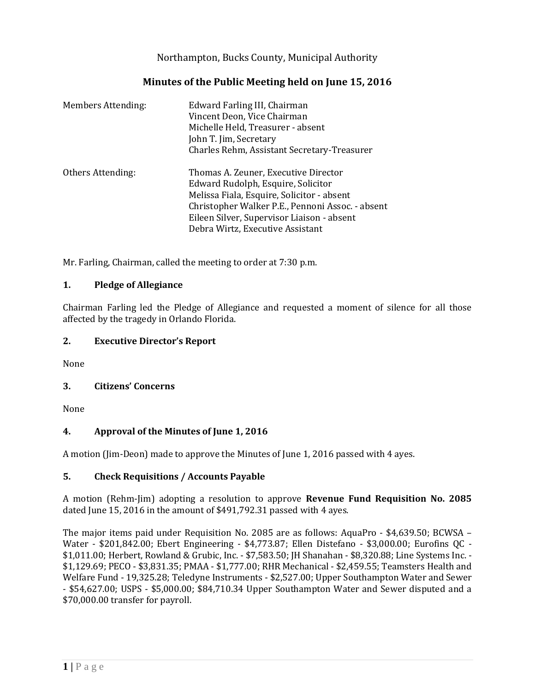Northampton, Bucks County, Municipal Authority

# **Minutes of the Public Meeting held on June 15, 2016**

| <b>Members Attending:</b> | Edward Farling III, Chairman<br>Vincent Deon, Vice Chairman<br>Michelle Held, Treasurer - absent<br>John T. Jim, Secretary<br>Charles Rehm, Assistant Secretary-Treasurer                                                                                      |
|---------------------------|----------------------------------------------------------------------------------------------------------------------------------------------------------------------------------------------------------------------------------------------------------------|
| Others Attending:         | Thomas A. Zeuner, Executive Director<br>Edward Rudolph, Esquire, Solicitor<br>Melissa Fiala, Esquire, Solicitor - absent<br>Christopher Walker P.E., Pennoni Assoc. - absent<br>Eileen Silver, Supervisor Liaison - absent<br>Debra Wirtz, Executive Assistant |

Mr. Farling, Chairman, called the meeting to order at 7:30 p.m.

### **1. Pledge of Allegiance**

Chairman Farling led the Pledge of Allegiance and requested a moment of silence for all those affected by the tragedy in Orlando Florida.

### **2. Executive Director's Report**

None

## **3. Citizens' Concerns**

None

## **4. Approval of the Minutes of June 1, 2016**

A motion (Jim-Deon) made to approve the Minutes of June 1, 2016 passed with 4 ayes.

### **5. Check Requisitions / Accounts Payable**

A motion (Rehm-Jim) adopting a resolution to approve **Revenue Fund Requisition No. 2085** dated June 15, 2016 in the amount of \$491,792.31 passed with 4 ayes.

The major items paid under Requisition No. 2085 are as follows: AquaPro - \$4,639.50; BCWSA – Water - \$201,842.00; Ebert Engineering - \$4,773.87; Ellen Distefano - \$3,000.00; Eurofins QC - \$1,011.00; Herbert, Rowland & Grubic, Inc. - \$7,583.50; JH Shanahan - \$8,320.88; Line Systems Inc. - \$1,129.69; PECO - \$3,831.35; PMAA - \$1,777.00; RHR Mechanical - \$2,459.55; Teamsters Health and Welfare Fund - 19,325.28; Teledyne Instruments - \$2,527.00; Upper Southampton Water and Sewer - \$54,627.00; USPS - \$5,000.00; \$84,710.34 Upper Southampton Water and Sewer disputed and a \$70,000.00 transfer for payroll.